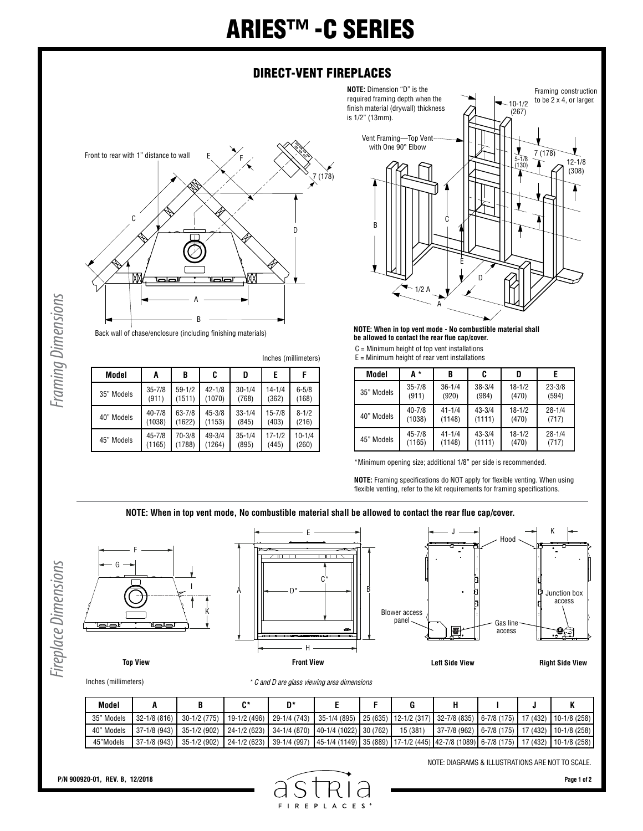## ARIES™ -C SERIES

## DIRECT-VENT FIREPLACES

**NOTE:** Dimension "D" is the



Framing Dimensions *Framing Dimensions*

Back wall of chase/enclosure (including finishing materials)

Inches (millimeters)

| Model      | A          | B          | C          | D          | E          | F          |
|------------|------------|------------|------------|------------|------------|------------|
| 35" Models | $35 - 7/8$ | $59 - 1/2$ | $42 - 1/8$ | $30 - 1/4$ | $14 - 1/4$ | $6 - 5/8$  |
|            | (911)      | (1511)     | (1070)     | (768)      | (362)      | (168)      |
| 40" Models | $40 - 7/8$ | $63 - 7/8$ | $45 - 3/8$ | $33 - 1/4$ | $15 - 7/8$ | $8 - 1/2$  |
|            | (1038)     | (1622)     | (1153)     | (845)      | (403)      | (216)      |
| 45" Models | $45 - 7/8$ | 70-3/8     | $49 - 3/4$ | $35 - 1/4$ | $17 - 1/2$ | $10 - 1/4$ |
|            | (1165)     | (1788)     | (1264)     | (895)      | (445)      | (260)      |



**NOTE: When in top vent mode - No combustible material shall be allowed to contact the rear flue cap/cover.**

C = Minimum height of top vent installations

 $E =$  Minimum height of rear vent installations

| Model      | А*         | B          | C          | D          | F          |
|------------|------------|------------|------------|------------|------------|
| 35" Models | $35 - 7/8$ | $36 - 1/4$ | $38 - 3/4$ | $18 - 1/2$ | $23 - 3/8$ |
|            | (911)      | (920)      | (984)      | (470)      | (594)      |
| 40" Models | $40 - 7/8$ | $41 - 1/4$ | $43 - 3/4$ | $18 - 1/2$ | $28 - 1/4$ |
|            | (1038)     | (1148)     | (1111)     | (470)      | (717)      |
| 45" Models | $45 - 7/8$ | $41 - 1/4$ | $43 - 3/4$ | $18 - 1/2$ | $28 - 1/4$ |
|            | (1165)     | (1148)     | (1111)     | (470)      | (717)      |

\*Minimum opening size; additional 1/8" per side is recommended.

**NOTE:** Framing specifications do NOT apply for flexible venting. When using flexible venting, refer to the kit requirements for framing specifications.

**NOTE: When in top vent mode, No combustible material shall be allowed to contact the rear flue cap/cover.**







J K

Inches (millimeters)

| * C and D are glass viewing area dimensions |  |  |
|---------------------------------------------|--|--|
|---------------------------------------------|--|--|

| Model      |                 |                                                                                                                                             |  |  |                                                      |  |  |
|------------|-----------------|---------------------------------------------------------------------------------------------------------------------------------------------|--|--|------------------------------------------------------|--|--|
| 35" Models | $32 - 1/8(816)$ | 30−1/2 (775)   19−1/2 (496)   29−1/4 (743)   35−1/4 (895)   25 (635)   12−1/2 (317)   32−7/8 (835)   6−7/8 (175)   17 (432)   10−1/8 (258)  |  |  |                                                      |  |  |
| 40" Models |                 | $\mid$ 37-1/8 (943) $\mid$ 35-1/2 (902) $\mid$ 24-1/2 (623) $\mid$ 34-1/4 (870) $\mid$ 40-1/4 (1022) $\mid$ 30 (762) $\mid$ 15 (381)        |  |  | 37-7/8 (962)   6-7/8 (175)   17 (432)   10-1/8 (258) |  |  |
| 45"Models  | $37-1/8(943)$   | 35-1/2 (902)   24-1/2 (623)   39-1/4 (997)   45-1/4 (1149)   35 (889)   17-1/2 (445)  42-7/8 (1089)   6-7/8 (175)   17 (432)   10-1/8 (258) |  |  |                                                      |  |  |

NOTE: DIAGRAMS & ILLUSTRATIONS ARE NOT TO SCALE.